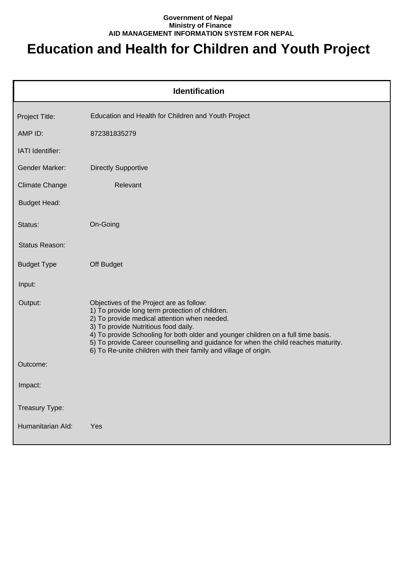## **Government of Nepal Ministry of Finance AID MANAGEMENT INFORMATION SYSTEM FOR NEPAL**

## **Education and Health for Children and Youth Project**

| <b>Identification</b> |                                                                                                                                                                                                                                                                                                                                                                                                                                    |  |
|-----------------------|------------------------------------------------------------------------------------------------------------------------------------------------------------------------------------------------------------------------------------------------------------------------------------------------------------------------------------------------------------------------------------------------------------------------------------|--|
| Project Title:        | Education and Health for Children and Youth Project                                                                                                                                                                                                                                                                                                                                                                                |  |
| AMP ID:               | 872381835279                                                                                                                                                                                                                                                                                                                                                                                                                       |  |
| IATI Identifier:      |                                                                                                                                                                                                                                                                                                                                                                                                                                    |  |
| <b>Gender Marker:</b> | <b>Directly Supportive</b>                                                                                                                                                                                                                                                                                                                                                                                                         |  |
| <b>Climate Change</b> | Relevant                                                                                                                                                                                                                                                                                                                                                                                                                           |  |
| <b>Budget Head:</b>   |                                                                                                                                                                                                                                                                                                                                                                                                                                    |  |
| Status:               | On-Going                                                                                                                                                                                                                                                                                                                                                                                                                           |  |
| Status Reason:        |                                                                                                                                                                                                                                                                                                                                                                                                                                    |  |
| <b>Budget Type</b>    | Off Budget                                                                                                                                                                                                                                                                                                                                                                                                                         |  |
| Input:                |                                                                                                                                                                                                                                                                                                                                                                                                                                    |  |
| Output:               | Objectives of the Project are as follow:<br>1) To provide long term protection of children.<br>2) To provide medical attention when needed.<br>3) To provide Nutritious food daily.<br>4) To provide Schooling for both older and younger children on a full time basis.<br>5) To provide Career counselling and guidance for when the child reaches maturity.<br>6) To Re-unite children with their family and village of origin. |  |
| Outcome:              |                                                                                                                                                                                                                                                                                                                                                                                                                                    |  |
| Impact:               |                                                                                                                                                                                                                                                                                                                                                                                                                                    |  |
| Treasury Type:        |                                                                                                                                                                                                                                                                                                                                                                                                                                    |  |
| Humanitarian Ald:     | Yes                                                                                                                                                                                                                                                                                                                                                                                                                                |  |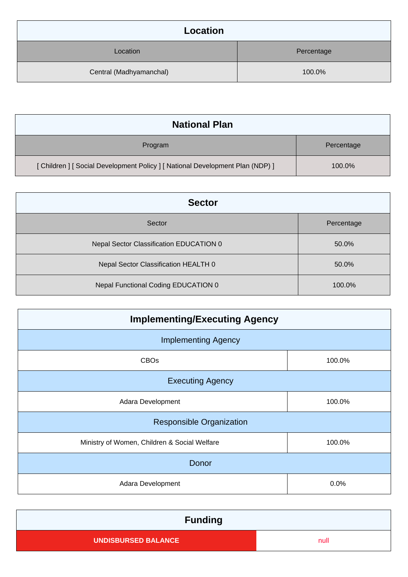| Location                |            |
|-------------------------|------------|
| Location                | Percentage |
| Central (Madhyamanchal) | 100.0%     |

| <b>National Plan</b>                                                           |            |
|--------------------------------------------------------------------------------|------------|
| Program                                                                        | Percentage |
| [ Children ] [ Social Development Policy ] [ National Development Plan (NDP) ] | 100.0%     |

| <b>Sector</b>                           |            |  |
|-----------------------------------------|------------|--|
| Sector                                  | Percentage |  |
| Nepal Sector Classification EDUCATION 0 | 50.0%      |  |
| Nepal Sector Classification HEALTH 0    | 50.0%      |  |
| Nepal Functional Coding EDUCATION 0     | 100.0%     |  |

| <b>Implementing/Executing Agency</b>         |        |  |
|----------------------------------------------|--------|--|
| <b>Implementing Agency</b>                   |        |  |
| <b>CBOs</b>                                  | 100.0% |  |
| <b>Executing Agency</b>                      |        |  |
| Adara Development                            | 100.0% |  |
| <b>Responsible Organization</b>              |        |  |
| Ministry of Women, Children & Social Welfare | 100.0% |  |
| Donor                                        |        |  |
| Adara Development                            | 0.0%   |  |

| <b>Funding</b>             |      |
|----------------------------|------|
| <b>UNDISBURSED BALANCE</b> | null |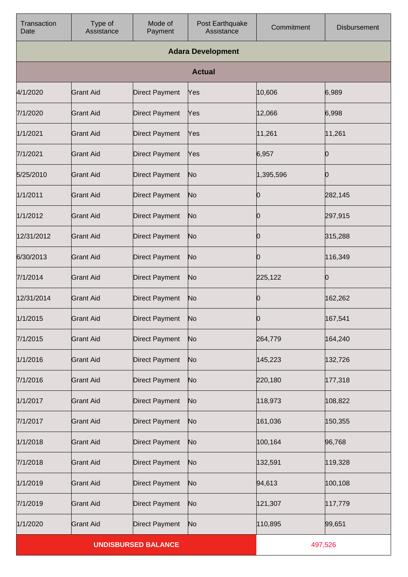| Transaction<br>Date        | Type of<br>Assistance | Mode of<br>Payment    | Post Earthquake<br>Assistance | Commitment | <b>Disbursement</b> |
|----------------------------|-----------------------|-----------------------|-------------------------------|------------|---------------------|
|                            |                       |                       | <b>Adara Development</b>      |            |                     |
|                            |                       |                       | <b>Actual</b>                 |            |                     |
| 4/1/2020                   | <b>Grant Aid</b>      | <b>Direct Payment</b> | Yes                           | 10,606     | 6,989               |
| 7/1/2020                   | <b>Grant Aid</b>      | <b>Direct Payment</b> | Yes                           | 12,066     | 6,998               |
| 1/1/2021                   | <b>Grant Aid</b>      | <b>Direct Payment</b> | Yes                           | 11,261     | 11,261              |
| 7/1/2021                   | <b>Grant Aid</b>      | <b>Direct Payment</b> | Yes                           | 6,957      | 0                   |
| 5/25/2010                  | <b>Grant Aid</b>      | <b>Direct Payment</b> | No                            | 1,395,596  | Ю                   |
| 1/1/2011                   | <b>Grant Aid</b>      | <b>Direct Payment</b> | N <sub>o</sub>                | Ю          | 282,145             |
| 1/1/2012                   | <b>Grant Aid</b>      | <b>Direct Payment</b> | No                            | Ю          | 297,915             |
| 12/31/2012                 | <b>Grant Aid</b>      | <b>Direct Payment</b> | N <sub>o</sub>                | Ю          | 315,288             |
| 6/30/2013                  | <b>Grant Aid</b>      | <b>Direct Payment</b> | No                            | Ю          | 116,349             |
| 7/1/2014                   | <b>Grant Aid</b>      | <b>Direct Payment</b> | No                            | 225,122    | Ю                   |
| 12/31/2014                 | <b>Grant Aid</b>      | <b>Direct Payment</b> | N <sub>o</sub>                | Ю          | 162,262             |
| 1/1/2015                   | <b>Grant Aid</b>      | <b>Direct Payment</b> | No                            | Ю          | 167,541             |
| 7/1/2015                   | <b>Grant Aid</b>      | <b>Direct Payment</b> | N <sub>o</sub>                | 264,779    | 164,240             |
| 1/1/2016                   | <b>Grant Aid</b>      | <b>Direct Payment</b> | No                            | 145,223    | 132,726             |
| 7/1/2016                   | <b>Grant Aid</b>      | <b>Direct Payment</b> | No                            | 220,180    | 177,318             |
| 1/1/2017                   | <b>Grant Aid</b>      | <b>Direct Payment</b> | No                            | 118,973    | 108,822             |
| 7/1/2017                   | <b>Grant Aid</b>      | <b>Direct Payment</b> | No                            | 161,036    | 150,355             |
| 1/1/2018                   | <b>Grant Aid</b>      | <b>Direct Payment</b> | No                            | 100,164    | 96,768              |
| 7/1/2018                   | <b>Grant Aid</b>      | <b>Direct Payment</b> | No                            | 132,591    | 119,328             |
| 1/1/2019                   | <b>Grant Aid</b>      | <b>Direct Payment</b> | No                            | 94,613     | 100,108             |
| 7/1/2019                   | <b>Grant Aid</b>      | <b>Direct Payment</b> | No                            | 121,307    | 117,779             |
| 1/1/2020                   | <b>Grant Aid</b>      | <b>Direct Payment</b> | No                            | 110,895    | 99,651              |
| <b>UNDISBURSED BALANCE</b> |                       |                       | 497,526                       |            |                     |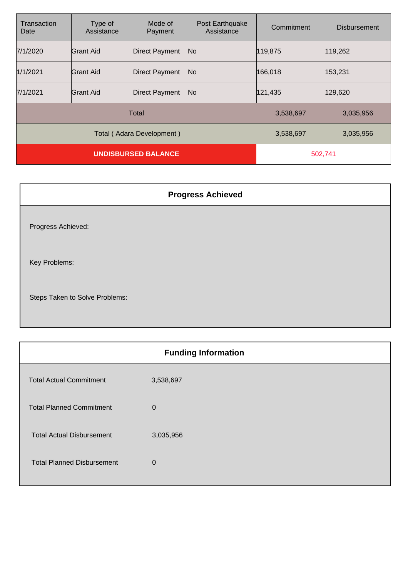| Transaction<br>Date        | Type of<br>Assistance | Mode of<br>Payment    | Post Earthquake<br>Assistance | Commitment | <b>Disbursement</b> |
|----------------------------|-----------------------|-----------------------|-------------------------------|------------|---------------------|
| 7/1/2020                   | Grant Aid             | <b>Direct Payment</b> | No                            | 119,875    | 119,262             |
| 1/1/2021                   | Grant Aid             | <b>Direct Payment</b> | No                            | 166,018    | 153,231             |
| 7/1/2021                   | lGrant Aid            | <b>Direct Payment</b> | No                            | 121,435    | 129,620             |
| Total                      |                       |                       | 3,538,697                     | 3,035,956  |                     |
| Total (Adara Development)  |                       |                       | 3,538,697                     | 3,035,956  |                     |
| <b>UNDISBURSED BALANCE</b> |                       |                       | 502,741                       |            |                     |

| <b>Progress Achieved</b>       |
|--------------------------------|
| Progress Achieved:             |
| Key Problems:                  |
| Steps Taken to Solve Problems: |

| <b>Funding Information</b> |  |  |
|----------------------------|--|--|
| 3,538,697                  |  |  |
| $\mathbf 0$                |  |  |
| 3,035,956                  |  |  |
| $\mathbf 0$                |  |  |
|                            |  |  |